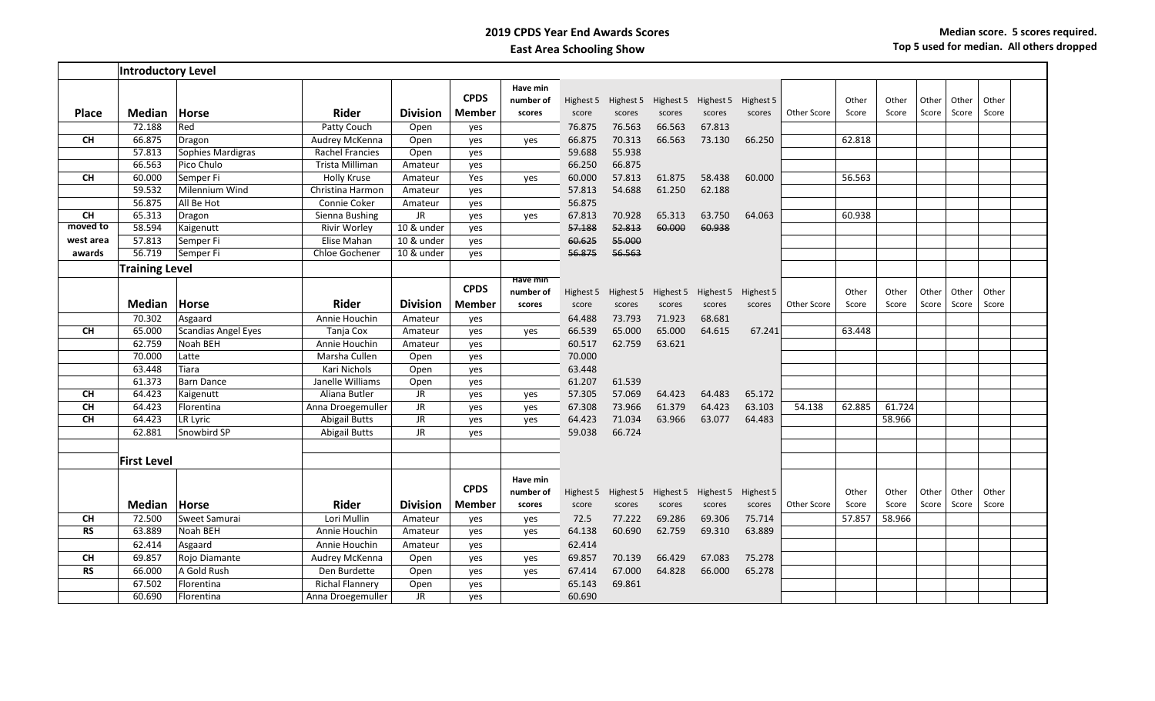## **2019 CPDS Year End Awards Scores East Area Schooling Show**

|                    | <b>Introductory Level</b> |                     |                        |                 |                       |                                 |                    |        |                                         |                     |                     |             |                |                |                |                |                |  |
|--------------------|---------------------------|---------------------|------------------------|-----------------|-----------------------|---------------------------------|--------------------|--------|-----------------------------------------|---------------------|---------------------|-------------|----------------|----------------|----------------|----------------|----------------|--|
| <b>Place</b>       | <b>Median</b>             | <b>Horse</b>        | <b>Rider</b>           | <b>Division</b> | <b>CPDS</b><br>Member | Have min<br>number of<br>scores | Highest 5<br>score | scores | Highest 5 Highest 5<br>scores           | Highest 5<br>scores | Highest 5<br>scores | Other Score | Other<br>Score | Other<br>Score | Other<br>Score | Other<br>Score | Other<br>Score |  |
|                    | 72.188                    | Red                 | Patty Couch            | Open            | yes                   |                                 | 76.875             | 76.563 | 66.563                                  | 67.813              |                     |             |                |                |                |                |                |  |
| <b>CH</b>          | 66.875                    | Dragon              | Audrey McKenna         | Open            | ves                   | yes                             | 66.875             | 70.313 | 66.563                                  | 73.130              | 66.250              |             | 62.818         |                |                |                |                |  |
|                    | 57.813                    | Sophies Mardigras   | Rachel Francies        | Open            | yes                   |                                 | 59.688             | 55.938 |                                         |                     |                     |             |                |                |                |                |                |  |
|                    | 66.563                    | Pico Chulo          | Trista Milliman        | Amateur         | yes                   |                                 | 66.250             | 66.875 |                                         |                     |                     |             |                |                |                |                |                |  |
| <b>CH</b>          | 60.000                    | Semper Fi           | <b>Holly Kruse</b>     | Amateur         | Yes                   | yes                             | 60.000             | 57.813 | 61.875                                  | 58.438              | 60.000              |             | 56.563         |                |                |                |                |  |
|                    | 59.532                    | Milennium Wind      | Christina Harmon       | Amateur         | yes                   |                                 | 57.813             | 54.688 | 61.250                                  | 62.188              |                     |             |                |                |                |                |                |  |
|                    | 56.875                    | All Be Hot          | Connie Coker           | Amateur         | yes                   |                                 | 56.875             |        |                                         |                     |                     |             |                |                |                |                |                |  |
| CH                 | 65.313                    | Dragon              | Sienna Bushing         | JR              | yes                   | yes                             | 67.813             | 70.928 | 65.313                                  | 63.750              | 64.063              |             | 60.938         |                |                |                |                |  |
| moved to           | 58.594                    | Kaigenutt           | <b>Rivir Worley</b>    | 10 & under      | yes                   |                                 | 57.188             | 52.813 | 60.000                                  | 60.938              |                     |             |                |                |                |                |                |  |
| west area          | 57.813                    | Semper Fi           | Elise Mahan            | 10 & under      | ves                   |                                 | 60.625             | 55.000 |                                         |                     |                     |             |                |                |                |                |                |  |
| awards             | 56.719                    | Semper Fi           | Chloe Gochener         | 10 & under      | yes                   |                                 | 56.875             | 56.563 |                                         |                     |                     |             |                |                |                |                |                |  |
|                    | <b>Training Level</b>     |                     |                        |                 |                       |                                 |                    |        |                                         |                     |                     |             |                |                |                |                |                |  |
|                    |                           |                     |                        |                 |                       | Have min                        |                    |        |                                         |                     |                     |             |                |                |                |                |                |  |
|                    |                           |                     |                        |                 | <b>CPDS</b>           | number of                       | Highest 5          |        | Highest 5 Highest 5 Highest 5           |                     | Highest 5           |             | Other          | Other          | Other          | Other          | Other          |  |
|                    | <b>Median</b>             | Horse               | <b>Rider</b>           | <b>Division</b> | <b>Member</b>         | scores                          | score              | scores | scores                                  | scores              | scores              | Other Score | Score          | Score          | Score          | Score          | Score          |  |
|                    | 70.302                    | Asgaard             | Annie Houchin          | Amateur         | yes                   |                                 | 64.488             | 73.793 | 71.923                                  | 68.681              |                     |             |                |                |                |                |                |  |
| <b>CH</b>          | 65.000                    | Scandias Angel Eyes | Tanja Cox              | Amateur         | yes                   | yes                             | 66.539             | 65.000 | 65.000                                  | 64.615              | 67.241              |             | 63.448         |                |                |                |                |  |
|                    | 62.759                    | Noah BEH            | Annie Houchin          | Amateur         | yes                   |                                 | 60.517             | 62.759 | 63.621                                  |                     |                     |             |                |                |                |                |                |  |
|                    | 70.000                    | Latte               | Marsha Cullen          | Open            | yes                   |                                 | 70.000             |        |                                         |                     |                     |             |                |                |                |                |                |  |
|                    | 63.448                    | Tiara               | Kari Nichols           | Open            | yes                   |                                 | 63.448             |        |                                         |                     |                     |             |                |                |                |                |                |  |
|                    | 61.373                    | Barn Dance          | Janelle Williams       | Open            | yes                   |                                 | 61.207             | 61.539 |                                         |                     |                     |             |                |                |                |                |                |  |
| <b>CH</b>          | 64.423                    | Kaigenutt           | Aliana Butler          | <b>JR</b>       | yes                   | yes                             | 57.305             | 57.069 | 64.423                                  | 64.483              | 65.172              |             |                |                |                |                |                |  |
| <b>CH</b>          | 64.423                    | Florentina          | Anna Droegemuller      | JR              | yes                   | yes                             | 67.308             | 73.966 | 61.379                                  | 64.423              | 63.103              | 54.138      | 62.885         | 61.724         |                |                |                |  |
| CH                 | 64.423                    | LR Lyric            | <b>Abigail Butts</b>   | JR              | yes                   | yes                             | 64.423             | 71.034 | 63.966                                  | 63.077              | 64.483              |             |                | 58.966         |                |                |                |  |
|                    | 62.881                    | Snowbird SP         | <b>Abigail Butts</b>   | <b>JR</b>       | yes                   |                                 | 59.038             | 66.724 |                                         |                     |                     |             |                |                |                |                |                |  |
|                    |                           |                     |                        |                 |                       |                                 |                    |        |                                         |                     |                     |             |                |                |                |                |                |  |
| <b>First Level</b> |                           |                     |                        |                 |                       |                                 |                    |        |                                         |                     |                     |             |                |                |                |                |                |  |
|                    |                           |                     |                        |                 | <b>CPDS</b>           | Have min<br>number of           |                    |        | Highest 5 Highest 5 Highest 5 Highest 5 |                     | Highest 5           |             | Other          | Other          | Other          | Other          | Other          |  |
|                    | <b>Median</b>             | Horse               | Rider                  | <b>Division</b> | <b>Member</b>         | scores                          | score              | scores | scores                                  | scores              | scores              | Other Score | Score          | Score          | Score          | Score          | Score          |  |
| <b>CH</b>          | 72.500                    | Sweet Samurai       | Lori Mullin            | Amateur         | yes                   | yes                             | 72.5               | 77.222 | 69.286                                  | 69.306              | 75.714              |             | 57.857         | 58.966         |                |                |                |  |
| <b>RS</b>          | 63.889                    | Noah BEH            | Annie Houchin          | Amateur         | yes                   | yes                             | 64.138             | 60.690 | 62.759                                  | 69.310              | 63.889              |             |                |                |                |                |                |  |
|                    | 62.414                    | Asgaard             | Annie Houchin          | Amateur         | yes                   |                                 | 62.414             |        |                                         |                     |                     |             |                |                |                |                |                |  |
| <b>CH</b>          | 69.857                    | Rojo Diamante       | Audrey McKenna         | Open            | yes                   | yes                             | 69.857             | 70.139 | 66.429                                  | 67.083              | 75.278              |             |                |                |                |                |                |  |
| <b>RS</b>          | 66.000                    | A Gold Rush         | Den Burdette           | Open            | ves                   | yes                             | 67.414             | 67.000 | 64.828                                  | 66.000              | 65.278              |             |                |                |                |                |                |  |
|                    | 67.502                    | Florentina          | <b>Richal Flannery</b> | Open            | yes                   |                                 | 65.143             | 69.861 |                                         |                     |                     |             |                |                |                |                |                |  |
|                    | 60.690                    | Florentina          | Anna Droegemuller      | <b>JR</b>       | yes                   |                                 | 60.690             |        |                                         |                     |                     |             |                |                |                |                |                |  |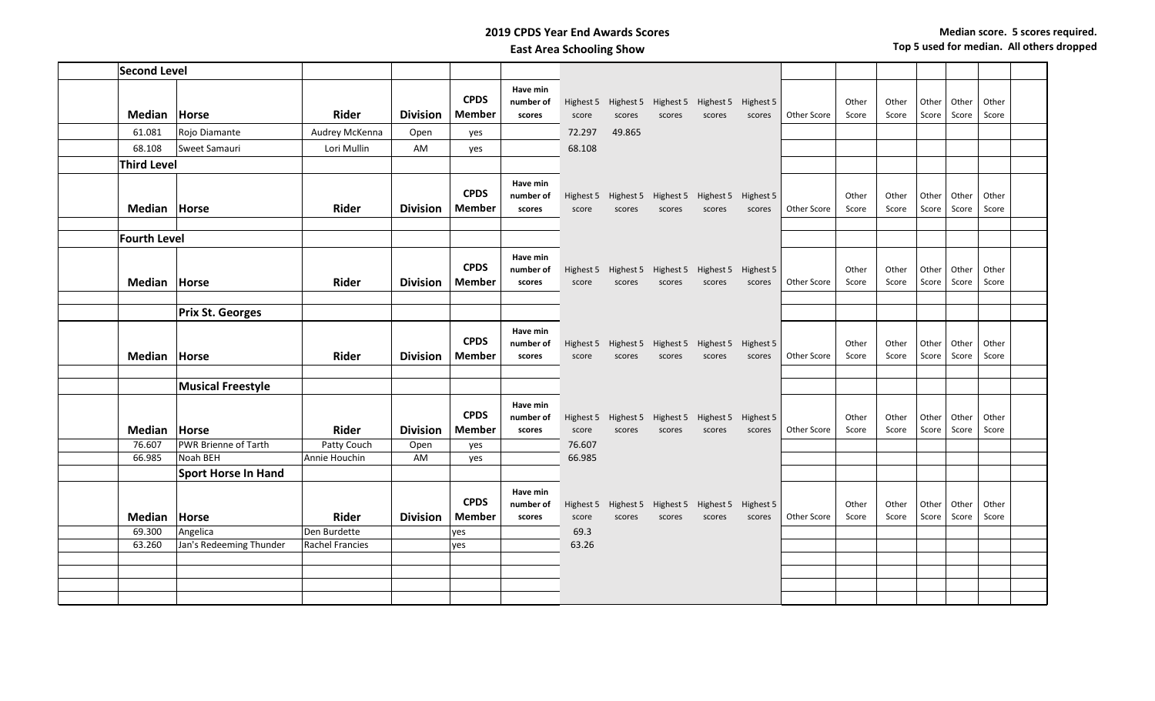## **2019 CPDS Year End Awards Scores East Area Schooling Show**

| <b>Second Level</b> |                            |                        |                 |                              |                                 |                 |        |                                                             |        |                     |             |                |                |                |                |                |  |
|---------------------|----------------------------|------------------------|-----------------|------------------------------|---------------------------------|-----------------|--------|-------------------------------------------------------------|--------|---------------------|-------------|----------------|----------------|----------------|----------------|----------------|--|
|                     |                            |                        |                 | <b>CPDS</b>                  | Have min<br>number of           |                 |        | Highest 5 Highest 5 Highest 5 Highest 5                     |        | Highest 5           |             | Other          | Other          | Other          | Other          | Other          |  |
| Median              | Horse                      | <b>Rider</b>           | <b>Division</b> | <b>Member</b>                | scores                          | score           | scores | scores                                                      | scores | scores              | Other Score | Score          | Score          | Score          | Score          | Score          |  |
| 61.081              | Rojo Diamante              | Audrey McKenna         | Open            | yes                          |                                 | 72.297          | 49.865 |                                                             |        |                     |             |                |                |                |                |                |  |
| 68.108              | Sweet Samauri              | Lori Mullin            | AM              | yes                          |                                 | 68.108          |        |                                                             |        |                     |             |                |                |                |                |                |  |
| <b>Third Level</b>  |                            |                        |                 |                              |                                 |                 |        |                                                             |        |                     |             |                |                |                |                |                |  |
| Median Horse        |                            | <b>Rider</b>           | <b>Division</b> | <b>CPDS</b><br><b>Member</b> | Have min<br>number of<br>scores | score           | scores | Highest 5 Highest 5 Highest 5 Highest 5 Highest 5<br>scores | scores | scores              | Other Score | Other<br>Score | Other<br>Score | Other<br>Score | Other<br>Score | Other<br>Score |  |
| <b>Fourth Level</b> |                            |                        |                 |                              |                                 |                 |        |                                                             |        |                     |             |                |                |                |                |                |  |
| Median              | Horse                      | <b>Rider</b>           | <b>Division</b> | <b>CPDS</b><br><b>Member</b> | Have min<br>number of<br>scores | score           | scores | Highest 5 Highest 5 Highest 5 Highest 5<br>scores           | scores | Highest 5<br>scores | Other Score | Other<br>Score | Other<br>Score | Other<br>Score | Other<br>Score | Other<br>Score |  |
|                     |                            |                        |                 |                              |                                 |                 |        |                                                             |        |                     |             |                |                |                |                |                |  |
|                     | <b>Prix St. Georges</b>    |                        |                 |                              |                                 |                 |        |                                                             |        |                     |             |                |                |                |                |                |  |
| Median              | Horse                      | <b>Rider</b>           | <b>Division</b> | <b>CPDS</b><br><b>Member</b> | Have min<br>number of<br>scores | score           | scores | Highest 5 Highest 5 Highest 5 Highest 5<br>scores           | scores | Highest 5<br>scores | Other Score | Other<br>Score | Other<br>Score | Other<br>Score | Other<br>Score | Other<br>Score |  |
|                     |                            |                        |                 |                              |                                 |                 |        |                                                             |        |                     |             |                |                |                |                |                |  |
|                     | <b>Musical Freestyle</b>   |                        |                 |                              |                                 |                 |        |                                                             |        |                     |             |                |                |                |                |                |  |
| <b>Median</b>       | Horse                      | Rider                  | <b>Division</b> | <b>CPDS</b><br><b>Member</b> | Have min<br>number of           |                 |        | Highest 5 Highest 5 Highest 5 Highest 5                     |        | Highest 5           | Other Score | Other          | Other          | Other          | Other          | Other          |  |
| 76.607              | PWR Brienne of Tarth       | Patty Couch            | Open            | yes                          | scores                          | score<br>76.607 | scores | scores                                                      | scores | scores              |             | Score          | Score          | Score          | Score          | Score          |  |
| 66.985              | Noah BEH                   | Annie Houchin          | AM              | yes                          |                                 | 66.985          |        |                                                             |        |                     |             |                |                |                |                |                |  |
|                     | <b>Sport Horse In Hand</b> |                        |                 |                              |                                 |                 |        |                                                             |        |                     |             |                |                |                |                |                |  |
|                     |                            |                        |                 | <b>CPDS</b>                  | Have min<br>number of           | Highest 5       |        | Highest 5 Highest 5 Highest 5                               |        | Highest 5           |             | Other          | Other          | Other          | Other          | Other          |  |
| Median              | Horse                      | <b>Rider</b>           | <b>Division</b> | <b>Member</b>                | scores                          | score           | scores | scores                                                      | scores | scores              | Other Score | Score          | Score          | Score          | Score          | Score          |  |
| 69.300              | Angelica                   | Den Burdette           |                 | yes                          |                                 | 69.3            |        |                                                             |        |                     |             |                |                |                |                |                |  |
| 63.260              | Jan's Redeeming Thunder    | <b>Rachel Francies</b> |                 | yes                          |                                 | 63.26           |        |                                                             |        |                     |             |                |                |                |                |                |  |
|                     |                            |                        |                 |                              |                                 |                 |        |                                                             |        |                     |             |                |                |                |                |                |  |
|                     |                            |                        |                 |                              |                                 |                 |        |                                                             |        |                     |             |                |                |                |                |                |  |
|                     |                            |                        |                 |                              |                                 |                 |        |                                                             |        |                     |             |                |                |                |                |                |  |